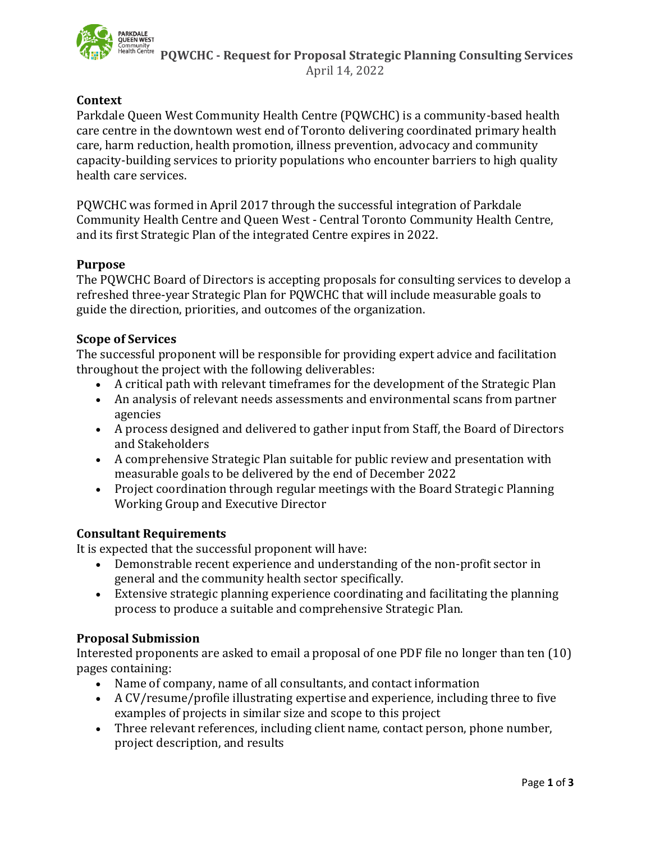

 **PQWCHC - Request for Proposal Strategic Planning Consulting Services** April 14, 2022

## **Context**

Parkdale Queen West Community Health Centre (PQWCHC) is a community-based health care centre in the downtown west end of Toronto delivering coordinated primary health care, harm reduction, health promotion, illness prevention, advocacy and community capacity-building services to priority populations who encounter barriers to high quality health care services.

PQWCHC was formed in April 2017 through the successful integration of Parkdale Community Health Centre and Queen West - Central Toronto Community Health Centre, and its first Strategic Plan of the integrated Centre expires in 2022.

### **Purpose**

The PQWCHC Board of Directors is accepting proposals for consulting services to develop a refreshed three-year Strategic Plan for PQWCHC that will include measurable goals to guide the direction, priorities, and outcomes of the organization.

### **Scope of Services**

The successful proponent will be responsible for providing expert advice and facilitation throughout the project with the following deliverables:

- A critical path with relevant timeframes for the development of the Strategic Plan
- An analysis of relevant needs assessments and environmental scans from partner agencies
- A process designed and delivered to gather input from Staff, the Board of Directors and Stakeholders
- A comprehensive Strategic Plan suitable for public review and presentation with measurable goals to be delivered by the end of December 2022
- Project coordination through regular meetings with the Board Strategic Planning Working Group and Executive Director

## **Consultant Requirements**

It is expected that the successful proponent will have:

- Demonstrable recent experience and understanding of the non-profit sector in general and the community health sector specifically.
- Extensive strategic planning experience coordinating and facilitating the planning process to produce a suitable and comprehensive Strategic Plan.

## **Proposal Submission**

Interested proponents are asked to email a proposal of one PDF file no longer than ten (10) pages containing:

- Name of company, name of all consultants, and contact information
- A CV/resume/profile illustrating expertise and experience, including three to five examples of projects in similar size and scope to this project
- Three relevant references, including client name, contact person, phone number, project description, and results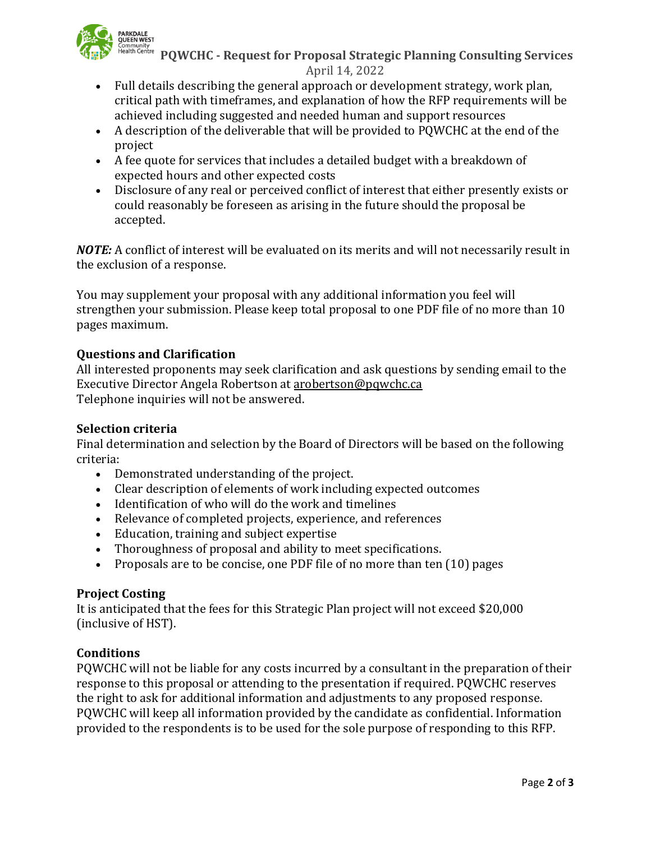

 **PQWCHC - Request for Proposal Strategic Planning Consulting Services** April 14, 2022

- Full details describing the general approach or development strategy, work plan, critical path with timeframes, and explanation of how the RFP requirements will be achieved including suggested and needed human and support resources
- A description of the deliverable that will be provided to PQWCHC at the end of the project
- A fee quote for services that includes a detailed budget with a breakdown of expected hours and other expected costs
- Disclosure of any real or perceived conflict of interest that either presently exists or could reasonably be foreseen as arising in the future should the proposal be accepted.

*NOTE:* A conflict of interest will be evaluated on its merits and will not necessarily result in the exclusion of a response.

You may supplement your proposal with any additional information you feel will strengthen your submission. Please keep total proposal to one PDF file of no more than 10 pages maximum.

# **Questions and Clarification**

All interested proponents may seek clarification and ask questions by sending email to the Executive Director Angela Robertson at [arobertson@pqwchc.ca](mailto:arobertson@pqwchc.ca) Telephone inquiries will not be answered.

## **Selection criteria**

Final determination and selection by the Board of Directors will be based on the following criteria:

- Demonstrated understanding of the project.
- Clear description of elements of work including expected outcomes
- Identification of who will do the work and timelines
- Relevance of completed projects, experience, and references
- Education, training and subject expertise
- Thoroughness of proposal and ability to meet specifications.
- Proposals are to be concise, one PDF file of no more than ten (10) pages

## **Project Costing**

It is anticipated that the fees for this Strategic Plan project will not exceed \$20,000 (inclusive of HST).

## **Conditions**

PQWCHC will not be liable for any costs incurred by a consultant in the preparation of their response to this proposal or attending to the presentation if required. PQWCHC reserves the right to ask for additional information and adjustments to any proposed response. PQWCHC will keep all information provided by the candidate as confidential. Information provided to the respondents is to be used for the sole purpose of responding to this RFP.